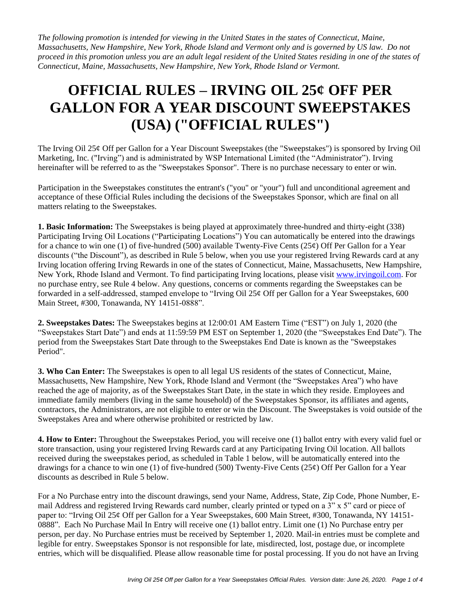*The following promotion is intended for viewing in the United States in the states of Connecticut, Maine, Massachusetts, New Hampshire, New York, Rhode Island and Vermont only and is governed by US law. Do not proceed in this promotion unless you are an adult legal resident of the United States residing in one of the states of Connecticut, Maine, Massachusetts, New Hampshire, New York, Rhode Island or Vermont.* 

## **OFFICIAL RULES – IRVING OIL 25¢ OFF PER GALLON FOR A YEAR DISCOUNT SWEEPSTAKES (USA) ("OFFICIAL RULES")**

The Irving Oil 25¢ Off per Gallon for a Year Discount Sweepstakes (the "Sweepstakes") is sponsored by Irving Oil Marketing, Inc. ("Irving") and is administrated by WSP International Limited (the "Administrator"). Irving hereinafter will be referred to as the "Sweepstakes Sponsor". There is no purchase necessary to enter or win.

Participation in the Sweepstakes constitutes the entrant's ("you" or "your") full and unconditional agreement and acceptance of these Official Rules including the decisions of the Sweepstakes Sponsor, which are final on all matters relating to the Sweepstakes.

**1. Basic Information:** The Sweepstakes is being played at approximately three-hundred and thirty-eight (338) Participating Irving Oil Locations ("Participating Locations") You can automatically be entered into the drawings for a chance to win one (1) of five-hundred (500) available Twenty-Five Cents (25 $\phi$ ) Off Per Gallon for a Year discounts ("the Discount"), as described in Rule 5 below, when you use your registered Irving Rewards card at any Irving location offering Irving Rewards in one of the states of Connecticut, Maine, Massachusetts, New Hampshire, New York, Rhode Island and Vermont. To find participating Irving locations, please visit [www.irvingoil.com.](http://www.irvingoil.com/) For no purchase entry, see Rule 4 below. Any questions, concerns or comments regarding the Sweepstakes can be forwarded in a self-addressed, stamped envelope to "Irving Oil 25¢ Off per Gallon for a Year Sweepstakes, 600 Main Street, #300, Tonawanda, NY 14151-0888".

**2. Sweepstakes Dates:** The Sweepstakes begins at 12:00:01 AM Eastern Time ("EST") on July 1, 2020 (the "Sweepstakes Start Date") and ends at 11:59:59 PM EST on September 1, 2020 (the "Sweepstakes End Date"). The period from the Sweepstakes Start Date through to the Sweepstakes End Date is known as the "Sweepstakes Period".

**3. Who Can Enter:** The Sweepstakes is open to all legal US residents of the states of Connecticut, Maine, Massachusetts, New Hampshire, New York, Rhode Island and Vermont (the "Sweepstakes Area") who have reached the age of majority, as of the Sweepstakes Start Date, in the state in which they reside. Employees and immediate family members (living in the same household) of the Sweepstakes Sponsor, its affiliates and agents, contractors, the Administrators, are not eligible to enter or win the Discount. The Sweepstakes is void outside of the Sweepstakes Area and where otherwise prohibited or restricted by law.

**4. How to Enter:** Throughout the Sweepstakes Period, you will receive one (1) ballot entry with every valid fuel or store transaction, using your registered Irving Rewards card at any Participating Irving Oil location. All ballots received during the sweepstakes period, as scheduled in Table 1 below, will be automatically entered into the drawings for a chance to win one (1) of five-hundred (500) Twenty-Five Cents (25¢) Off Per Gallon for a Year discounts as described in Rule 5 below.

For a No Purchase entry into the discount drawings, send your Name, Address, State, Zip Code, Phone Number, Email Address and registered Irving Rewards card number, clearly printed or typed on a 3" x 5" card or piece of paper to: "Irving Oil 25¢ Off per Gallon for a Year Sweepstakes, 600 Main Street, #300, Tonawanda, NY 14151- 0888". Each No Purchase Mail In Entry will receive one (1) ballot entry. Limit one (1) No Purchase entry per person, per day. No Purchase entries must be received by September 1, 2020. Mail-in entries must be complete and legible for entry. Sweepstakes Sponsor is not responsible for late, misdirected, lost, postage due, or incomplete entries, which will be disqualified. Please allow reasonable time for postal processing. If you do not have an Irving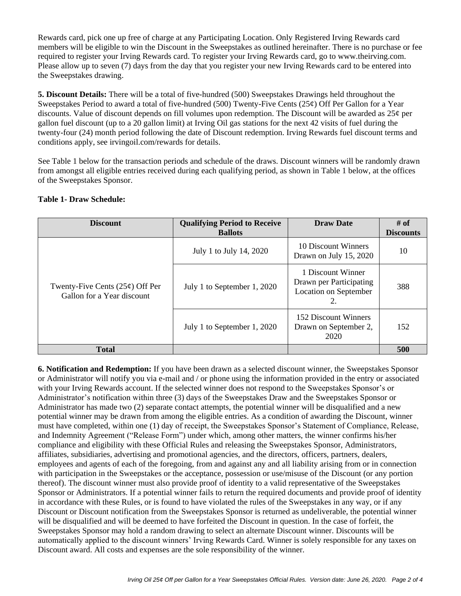Rewards card, pick one up free of charge at any Participating Location. Only Registered Irving Rewards card members will be eligible to win the Discount in the Sweepstakes as outlined hereinafter. There is no purchase or fee required to register your Irving Rewards card. To register your Irving Rewards card, go to www.theirving.com. Please allow up to seven (7) days from the day that you register your new Irving Rewards card to be entered into the Sweepstakes drawing.

**5. Discount Details:** There will be a total of five-hundred (500) Sweepstakes Drawings held throughout the Sweepstakes Period to award a total of five-hundred (500) Twenty-Five Cents (25¢) Off Per Gallon for a Year discounts. Value of discount depends on fill volumes upon redemption. The Discount will be awarded as 25¢ per gallon fuel discount (up to a 20 gallon limit) at Irving Oil gas stations for the next 42 visits of fuel during the twenty-four (24) month period following the date of Discount redemption. Irving Rewards fuel discount terms and conditions apply, see [irvingoil.com/rewards](https://www.irvingoil.com/rewards) for details.

See Table 1 below for the transaction periods and schedule of the draws. Discount winners will be randomly drawn from amongst all eligible entries received during each qualifying period, as shown in Table 1 below, at the offices of the Sweepstakes Sponsor.

| <b>Discount</b>                                                 | <b>Qualifying Period to Receive</b><br><b>Ballots</b> | <b>Draw Date</b>                                                            | # of<br><b>Discounts</b> |
|-----------------------------------------------------------------|-------------------------------------------------------|-----------------------------------------------------------------------------|--------------------------|
| Twenty-Five Cents $(25¢)$ Off Per<br>Gallon for a Year discount | July 1 to July 14, 2020                               | 10 Discount Winners<br>Drawn on July 15, 2020                               | 10                       |
|                                                                 | July 1 to September 1, 2020                           | 1 Discount Winner<br>Drawn per Participating<br>Location on September<br>2. | 388                      |
|                                                                 | July 1 to September 1, 2020                           | 152 Discount Winners<br>Drawn on September 2,<br>2020                       | 152                      |
| <b>Total</b>                                                    |                                                       |                                                                             | 500                      |

## **Table 1- Draw Schedule:**

**6. Notification and Redemption:** If you have been drawn as a selected discount winner, the Sweepstakes Sponsor or Administrator will notify you via e-mail and / or phone using the information provided in the entry or associated with your Irving Rewards account. If the selected winner does not respond to the Sweepstakes Sponsor's or Administrator's notification within three (3) days of the Sweepstakes Draw and the Sweepstakes Sponsor or Administrator has made two (2) separate contact attempts, the potential winner will be disqualified and a new potential winner may be drawn from among the eligible entries. As a condition of awarding the Discount, winner must have completed, within one (1) day of receipt, the Sweepstakes Sponsor's Statement of Compliance, Release, and Indemnity Agreement ("Release Form") under which, among other matters, the winner confirms his/her compliance and eligibility with these Official Rules and releasing the Sweepstakes Sponsor, Administrators, affiliates, subsidiaries, advertising and promotional agencies, and the directors, officers, partners, dealers, employees and agents of each of the foregoing, from and against any and all liability arising from or in connection with participation in the Sweepstakes or the acceptance, possession or use/misuse of the Discount (or any portion thereof). The discount winner must also provide proof of identity to a valid representative of the Sweepstakes Sponsor or Administrators. If a potential winner fails to return the required documents and provide proof of identity in accordance with these Rules, or is found to have violated the rules of the Sweepstakes in any way, or if any Discount or Discount notification from the Sweepstakes Sponsor is returned as undeliverable, the potential winner will be disqualified and will be deemed to have forfeited the Discount in question. In the case of forfeit, the Sweepstakes Sponsor may hold a random drawing to select an alternate Discount winner. Discounts will be automatically applied to the discount winners' Irving Rewards Card. Winner is solely responsible for any taxes on Discount award. All costs and expenses are the sole responsibility of the winner.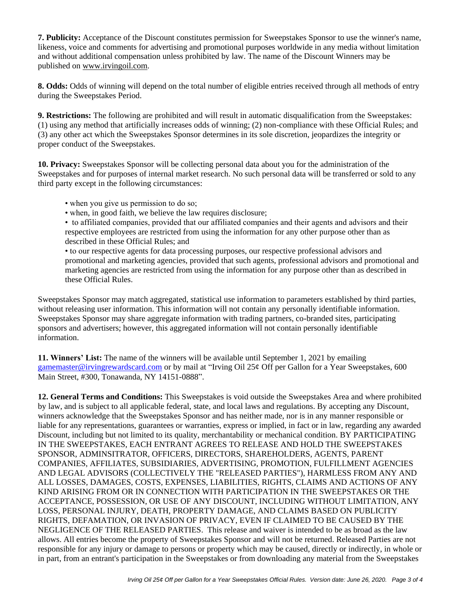**7. Publicity:** Acceptance of the Discount constitutes permission for Sweepstakes Sponsor to use the winner's name, likeness, voice and comments for advertising and promotional purposes worldwide in any media without limitation and without additional compensation unless prohibited by law. The name of the Discount Winners may be published on [www.irvingoil.com.](http://www.theirving.com/)

**8. Odds:** Odds of winning will depend on the total number of eligible entries received through all methods of entry during the Sweepstakes Period.

**9. Restrictions:** The following are prohibited and will result in automatic disqualification from the Sweepstakes: (1) using any method that artificially increases odds of winning; (2) non-compliance with these Official Rules; and (3) any other act which the Sweepstakes Sponsor determines in its sole discretion, jeopardizes the integrity or proper conduct of the Sweepstakes.

**10. Privacy:** Sweepstakes Sponsor will be collecting personal data about you for the administration of the Sweepstakes and for purposes of internal market research. No such personal data will be transferred or sold to any third party except in the following circumstances:

- when you give us permission to do so;
- when, in good faith, we believe the law requires disclosure;
- to affiliated companies, provided that our affiliated companies and their agents and advisors and their respective employees are restricted from using the information for any other purpose other than as described in these Official Rules; and

• to our respective agents for data processing purposes, our respective professional advisors and promotional and marketing agencies, provided that such agents, professional advisors and promotional and marketing agencies are restricted from using the information for any purpose other than as described in these Official Rules.

Sweepstakes Sponsor may match aggregated, statistical use information to parameters established by third parties, without releasing user information. This information will not contain any personally identifiable information. Sweepstakes Sponsor may share aggregate information with trading partners, co-branded sites, participating sponsors and advertisers; however, this aggregated information will not contain personally identifiable information.

**11. Winners' List:** The name of the winners will be available until September 1, 2021 by emailing [gamemaster@irvingrewardscard.com](mailto:gamemaster@irvingrewardscard.com) or by mail at "Irving Oil 25¢ Off per Gallon for a Year Sweepstakes, 600 Main Street, #300, Tonawanda, NY 14151-0888".

**12. General Terms and Conditions:** This Sweepstakes is void outside the Sweepstakes Area and where prohibited by law, and is subject to all applicable federal, state, and local laws and regulations. By accepting any Discount, winners acknowledge that the Sweepstakes Sponsor and has neither made, nor is in any manner responsible or liable for any representations, guarantees or warranties, express or implied, in fact or in law, regarding any awarded Discount, including but not limited to its quality, merchantability or mechanical condition. BY PARTICIPATING IN THE SWEEPSTAKES, EACH ENTRANT AGREES TO RELEASE AND HOLD THE SWEEPSTAKES SPONSOR, ADMINSITRATOR, OFFICERS, DIRECTORS, SHAREHOLDERS, AGENTS, PARENT COMPANIES, AFFILIATES, SUBSIDIARIES, ADVERTISING, PROMOTION, FULFILLMENT AGENCIES AND LEGAL ADVISORS (COLLECTIVELY THE "RELEASED PARTIES"), HARMLESS FROM ANY AND ALL LOSSES, DAMAGES, COSTS, EXPENSES, LIABILITIES, RIGHTS, CLAIMS AND ACTIONS OF ANY KIND ARISING FROM OR IN CONNECTION WITH PARTICIPATION IN THE SWEEPSTAKES OR THE ACCEPTANCE, POSSESSION, OR USE OF ANY DISCOUNT, INCLUDING WITHOUT LIMITATION, ANY LOSS, PERSONAL INJURY, DEATH, PROPERTY DAMAGE, AND CLAIMS BASED ON PUBLICITY RIGHTS, DEFAMATION, OR INVASION OF PRIVACY, EVEN IF CLAIMED TO BE CAUSED BY THE NEGLIGENCE OF THE RELEASED PARTIES. This release and waiver is intended to be as broad as the law allows. All entries become the property of Sweepstakes Sponsor and will not be returned. Released Parties are not responsible for any injury or damage to persons or property which may be caused, directly or indirectly, in whole or in part, from an entrant's participation in the Sweepstakes or from downloading any material from the Sweepstakes